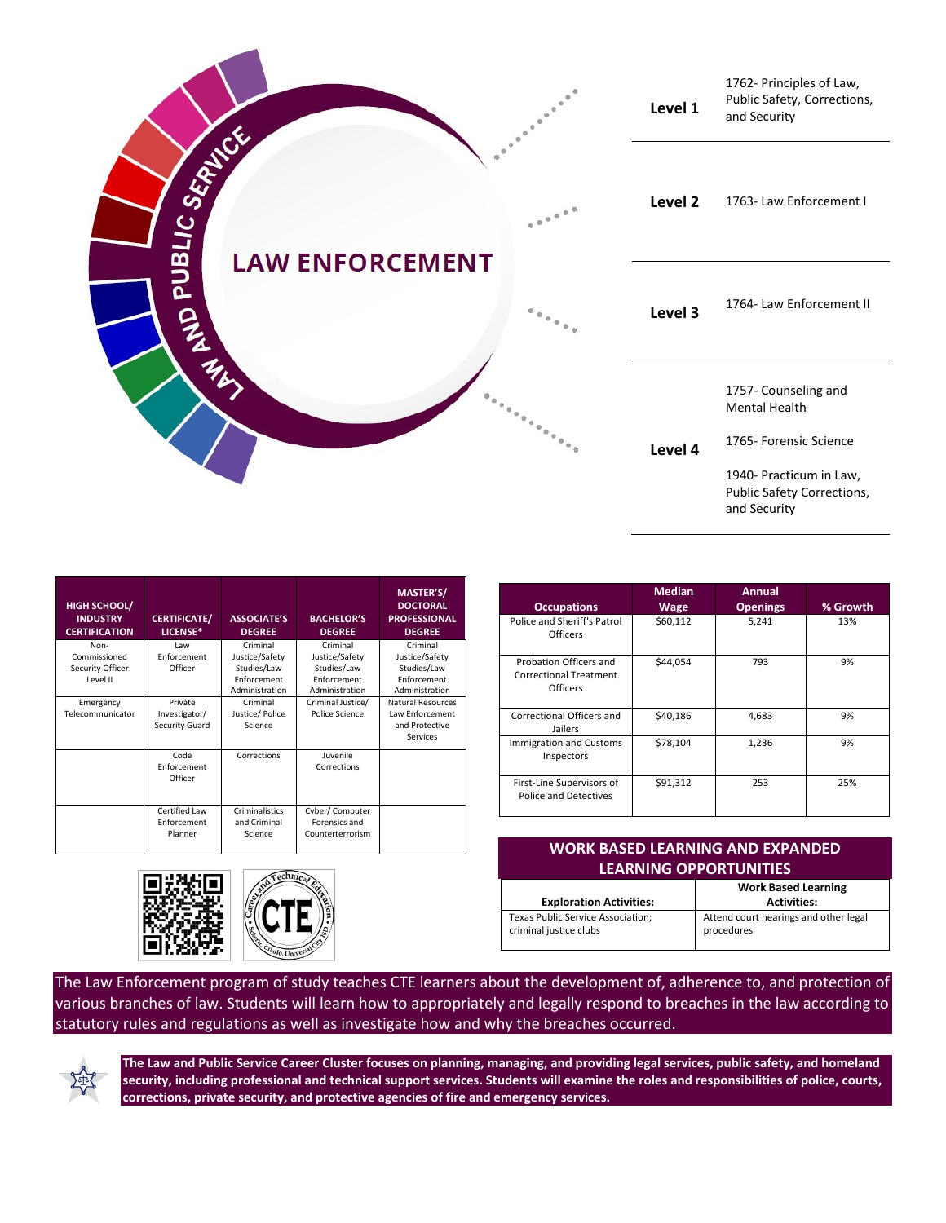

| <b>HIGH SCHOOL/</b><br><b>INDUSTRY</b><br><b>CERTIFICATION</b> | <b>CERTIFICATE/</b><br>LICENSE*                | <b>ASSOCIATE'S</b><br><b>DEGREE</b>                                        | <b>BACHELOR'S</b><br><b>DEGREE</b>                                         | MASTER'S/<br><b>DOCTORAL</b><br><b>PROFESSIONAL</b><br><b>DEGREE</b>       |
|----------------------------------------------------------------|------------------------------------------------|----------------------------------------------------------------------------|----------------------------------------------------------------------------|----------------------------------------------------------------------------|
| Non-<br>Commissioned<br>Security Officer<br>Level II           | Law<br>Enforcement<br>Officer                  | Criminal<br>Justice/Safety<br>Studies/Law<br>Enforcement<br>Administration | Criminal<br>Justice/Safety<br>Studies/Law<br>Enforcement<br>Administration | Criminal<br>Justice/Safety<br>Studies/Law<br>Enforcement<br>Administration |
| Emergency<br>Telecommunicator                                  | Private<br>Investigator/<br>Security Guard     | Criminal<br>Justice/Police<br>Science                                      | Criminal Justice/<br>Police Science                                        | Natural Resources<br><b>Law Enforcement</b><br>and Protective<br>Services  |
|                                                                | Code<br>Enforcement<br>Officer                 | Corrections                                                                | Juvenile<br>Corrections                                                    |                                                                            |
|                                                                | <b>Certified Law</b><br>Enforcement<br>Planner | Criminalistics<br>and Criminal<br>Science                                  | Cyber/ Computer<br>Forensics and<br>Counterterrorism                       |                                                                            |





## **WORK BASED LEARNING AND EXPANDED LEARNING OPPORTUNITIES**

|                                   | <b>Work Based Learning</b>            |  |
|-----------------------------------|---------------------------------------|--|
| <b>Exploration Activities:</b>    | <b>Activities:</b>                    |  |
| Texas Public Service Association; | Attend court hearings and other legal |  |
| criminal justice clubs            | procedures                            |  |
|                                   |                                       |  |

The Law Enforcement program of study teaches CTE learners about the development of, adherence to, and protection of various branches of law. Students will learn how to appropriately and legally respond to breaches in the law according to statutory rules and regulations as well as investigate how and why the breaches occurred.



**The Law and Public Service Career Cluster focuses on planning, managing, and providing legal services, public safety, and homeland security, including professional and technical support services. Students will examine the roles and responsibilities of police, courts, corrections, private security, and protective agencies of fire and emergency services.**